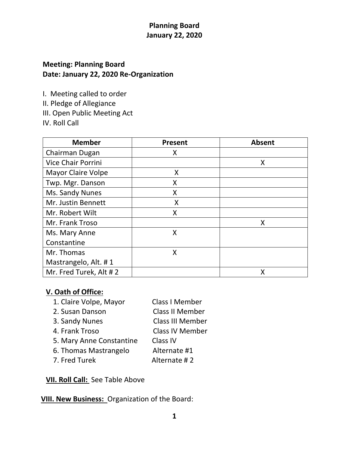## **Planning Board January 22, 2020**

# **Meeting: Planning Board Date: January 22, 2020 Re-Organization**

I. Meeting called to order

II. Pledge of Allegiance

III. Open Public Meeting Act

IV. Roll Call

| <b>Member</b>             | <b>Present</b> | <b>Absent</b> |
|---------------------------|----------------|---------------|
| Chairman Dugan            | X              |               |
| <b>Vice Chair Porrini</b> |                | X             |
| <b>Mayor Claire Volpe</b> | Χ              |               |
| Twp. Mgr. Danson          | X              |               |
| Ms. Sandy Nunes           | X              |               |
| Mr. Justin Bennett        | X              |               |
| Mr. Robert Wilt           | X              |               |
| Mr. Frank Troso           |                | X             |
| Ms. Mary Anne             | X              |               |
| Constantine               |                |               |
| Mr. Thomas                | X              |               |
| Mastrangelo, Alt. #1      |                |               |
| Mr. Fred Turek, Alt #2    |                | Χ             |

### **V. Oath of Office:**

- 1. Claire Volpe, Mayor Class I Member 2. Susan Danson Class II Member
- 

 3. Sandy Nunes Class III Member 4. Frank Troso Class IV Member 5. Mary Anne Constantine Class IV

- 6. Thomas Mastrangelo Alternate #1
- 7. Fred Turek Alternate # 2

**VII. Roll Call:** See Table Above

**VIII. New Business:** Organization of the Board: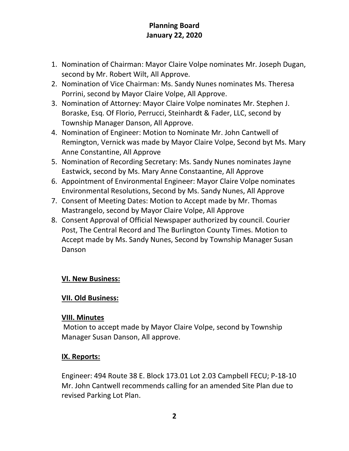## **Planning Board January 22, 2020**

- 1. Nomination of Chairman: Mayor Claire Volpe nominates Mr. Joseph Dugan, second by Mr. Robert Wilt, All Approve.
- 2. Nomination of Vice Chairman: Ms. Sandy Nunes nominates Ms. Theresa Porrini, second by Mayor Claire Volpe, All Approve.
- 3. Nomination of Attorney: Mayor Claire Volpe nominates Mr. Stephen J. Boraske, Esq. Of Florio, Perrucci, Steinhardt & Fader, LLC, second by Township Manager Danson, All Approve.
- 4. Nomination of Engineer: Motion to Nominate Mr. John Cantwell of Remington, Vernick was made by Mayor Claire Volpe, Second byt Ms. Mary Anne Constantine, All Approve
- 5. Nomination of Recording Secretary: Ms. Sandy Nunes nominates Jayne Eastwick, second by Ms. Mary Anne Constaantine, All Approve
- 6. Appointment of Environmental Engineer: Mayor Claire Volpe nominates Environmental Resolutions, Second by Ms. Sandy Nunes, All Approve
- 7. Consent of Meeting Dates: Motion to Accept made by Mr. Thomas Mastrangelo, second by Mayor Claire Volpe, All Approve
- 8. Consent Approval of Official Newspaper authorized by council. Courier Post, The Central Record and The Burlington County Times. Motion to Accept made by Ms. Sandy Nunes, Second by Township Manager Susan Danson

### **VI. New Business:**

### **VII. Old Business:**

#### **VIII. Minutes**

Motion to accept made by Mayor Claire Volpe, second by Township Manager Susan Danson, All approve.

### **IX. Reports:**

Engineer: 494 Route 38 E. Block 173.01 Lot 2.03 Campbell FECU; P-18-10 Mr. John Cantwell recommends calling for an amended Site Plan due to revised Parking Lot Plan.